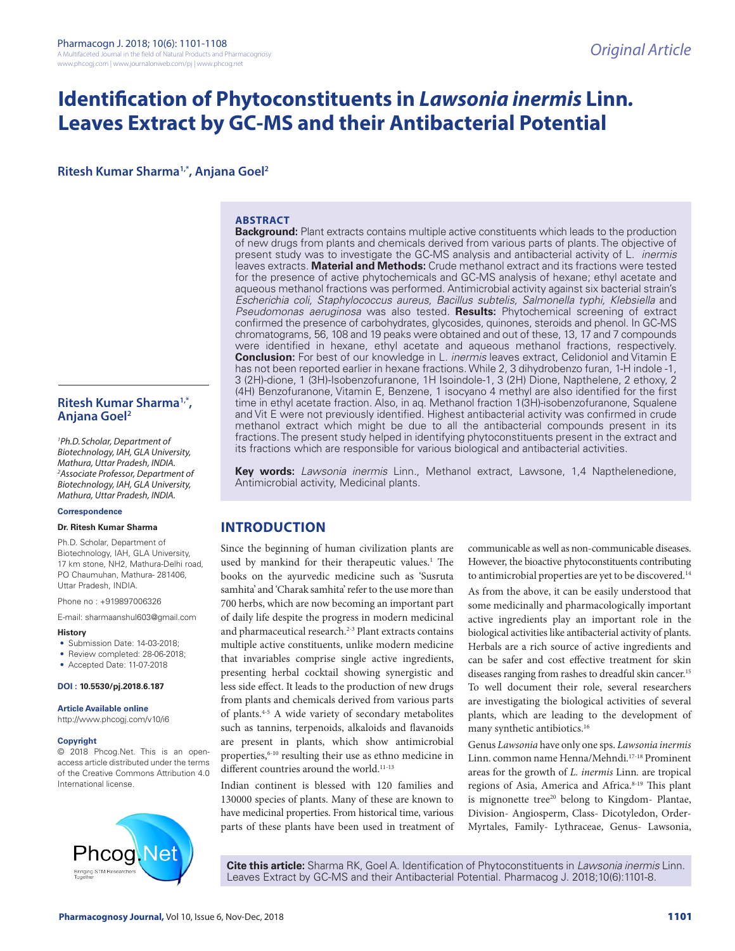# **Identification of Phytoconstituents in** *Lawsonia inermis* **Linn***.*  **Leaves Extract by GC-MS and their Antibacterial Potential**

**Ritesh Kumar Sharma1,\*, Anjana Goel2**

#### **ABSTRACT**

**Background:** Plant extracts contains multiple active constituents which leads to the production of new drugs from plants and chemicals derived from various parts of plants. The objective of present study was to investigate the GC-MS analysis and antibacterial activity of L. *inermis* leaves extracts. **Material and Methods:** Crude methanol extract and its fractions were tested for the presence of active phytochemicals and GC-MS analysis of hexane; ethyl acetate and aqueous methanol fractions was performed. Antimicrobial activity against six bacterial strain's *Escherichia coli, Staphylococcus aureus, Bacillus subtelis, Salmonella typhi, Klebsiella* and *Pseudomonas aeruginosa* was also tested*.* **Results:** Phytochemical screening of extract confirmed the presence of carbohydrates, glycosides, quinones, steroids and phenol. In GC-MS chromatograms, 56, 108 and 19 peaks were obtained and out of these, 13, 17 and 7 compounds were identified in hexane, ethyl acetate and aqueous methanol fractions, respectively. **Conclusion:** For best of our knowledge in L*. inermis* leaves extract, Celidoniol and Vitamin E has not been reported earlier in hexane fractions. While 2, 3 dihydrobenzo furan, 1-H indole -1, 3 (2H)-dione, 1 (3H)-Isobenzofuranone, 1H Isoindole-1, 3 (2H) Dione, Napthelene, 2 ethoxy, 2 (4H) Benzofuranone, Vitamin E, Benzene, 1 isocyano 4 methyl are also identified for the first time in ethyl acetate fraction. Also, in aq. Methanol fraction 1(3H)-isobenzofuranone, Squalene and Vit E were not previously identified. Highest antibacterial activity was confirmed in crude methanol extract which might be due to all the antibacterial compounds present in its fractions. The present study helped in identifying phytoconstituents present in the extract and its fractions which are responsible for various biological and antibacterial activities.

**Key words:** *Lawsonia inermis* Linn*.*, Methanol extract, Lawsone, 1,4 Napthelenedione, Antimicrobial activity, Medicinal plants.

# **INTRODUCTION**

Since the beginning of human civilization plants are used by mankind for their therapeutic values.<sup>1</sup> The books on the ayurvedic medicine such as 'Susruta samhita' and 'Charak samhita' refer to the use more than 700 herbs, which are now becoming an important part of daily life despite the progress in modern medicinal and pharmaceutical research.<sup>2-3</sup> Plant extracts contains multiple active constituents, unlike modern medicine that invariables comprise single active ingredients, presenting herbal cocktail showing synergistic and less side effect. It leads to the production of new drugs from plants and chemicals derived from various parts of plants.4-5 A wide variety of secondary metabolites such as tannins, terpenoids, alkaloids and flavanoids are present in plants, which show antimicrobial properties,<sup>6-10</sup> resulting their use as ethno medicine in different countries around the world.<sup>11-13</sup>

Indian continent is blessed with 120 families and 130000 species of plants. Many of these are known to have medicinal properties. From historical time, various parts of these plants have been used in treatment of communicable as well as non-communicable diseases. However, the bioactive phytoconstituents contributing to antimicrobial properties are yet to be discovered.<sup>14</sup>

As from the above, it can be easily understood that some medicinally and pharmacologically important active ingredients play an important role in the biological activities like antibacterial activity of plants. Herbals are a rich source of active ingredients and can be safer and cost effective treatment for skin diseases ranging from rashes to dreadful skin cancer.<sup>15</sup> To well document their role, several researchers are investigating the biological activities of several plants, which are leading to the development of many synthetic antibiotics.16

Genus *Lawsonia* have only one sps. *Lawsonia inermis*  Linn. common name Henna/Mehndi.17-18 Prominent areas for the growth of *L. inermis* Linn*.* are tropical regions of Asia, America and Africa.<sup>8-19</sup> This plant is mignonette tree<sup>20</sup> belong to Kingdom- Plantae, Division- Angiosperm, Class- Dicotyledon, Order-Myrtales, Family- Lythraceae, Genus- Lawsonia,

**Cite this article:** Sharma RK, Goel A. Identification of Phytoconstituents in *Lawsonia inermis* Linn. Leaves Extract by GC-MS and their Antibacterial Potential. Pharmacog J. 2018;10(6):1101-8.

# **Ritesh Kumar Sharma1,\*, Anjana Goel2**

*1 Ph.D.Scholar, Department of Biotechnology, IAH, GLA University, Mathura, Uttar Pradesh, INDIA. 2 Associate Professor, Department of Biotechnology, IAH, GLA University, Mathura, Uttar Pradesh, INDIA.*

#### **Correspondence**

#### **Dr. Ritesh Kumar Sharma**

Ph.D. Scholar, Department of Biotechnology, IAH, GLA University, 17 km stone, NH2, Mathura-Delhi road, PO Chaumuhan, Mathura- 281406, Uttar Pradesh, INDIA.

Phone no : +919897006326

E-mail: sharmaanshul603@gmail.com

- **History**
- Submission Date: 14-03-2018;
- Review completed: 28-06-2018;
- Accepted Date: 11-07-2018

**DOI : 10.5530/pj.2018.6.187**

#### **Article Available online**

http://www.phcogj.com/v10/i6

#### **Copyright**

© 2018 Phcog.Net. This is an openaccess article distributed under the terms of the Creative Commons Attribution 4.0 International license.

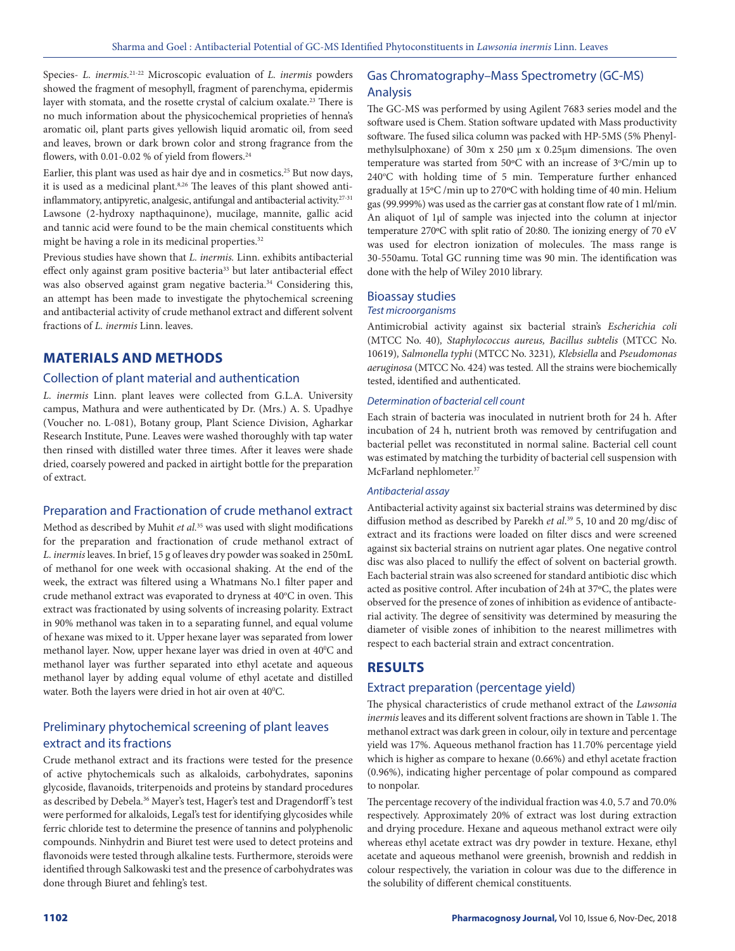Species- *L. inermis.*21-22 Microscopic evaluation of *L. inermis* powders showed the fragment of mesophyll, fragment of parenchyma, epidermis layer with stomata, and the rosette crystal of calcium oxalate. 23 There is no much information about the physicochemical proprieties of henna's aromatic oil, plant parts gives yellowish liquid aromatic oil, from seed and leaves, brown or dark brown color and strong fragrance from the flowers, with 0.01-0.02 % of yield from flowers.<sup>24</sup>

Earlier, this plant was used as hair dye and in cosmetics.<sup>25</sup> But now days, it is used as a medicinal plant.8,26 The leaves of this plant showed antiinflammatory, antipyretic, analgesic, antifungal and antibacterial activity.<sup>27-31</sup> Lawsone (2-hydroxy napthaquinone), mucilage, mannite, gallic acid and tannic acid were found to be the main chemical constituents which might be having a role in its medicinal properties.<sup>32</sup>

Previous studies have shown that *L. inermis.* Linn. exhibits antibacterial effect only against gram positive bacteria<sup>33</sup> but later antibacterial effect was also observed against gram negative bacteria.<sup>34</sup> Considering this, an attempt has been made to investigate the phytochemical screening and antibacterial activity of crude methanol extract and different solvent fractions of *L. inermis* Linn. leaves.

# **MATERIALS AND METHODS**

#### Collection of plant material and authentication

*L. inermis* Linn. plant leaves were collected from G.L.A. University campus, Mathura and were authenticated by Dr. (Mrs.) A. S. Upadhye (Voucher no. L-081), Botany group, Plant Science Division, Agharkar Research Institute, Pune. Leaves were washed thoroughly with tap water then rinsed with distilled water three times. After it leaves were shade dried, coarsely powered and packed in airtight bottle for the preparation of extract.

#### Preparation and Fractionation of crude methanol extract

Method as described by Muhit *et al.*35 was used with slight modifications for the preparation and fractionation of crude methanol extract of *L. inermis* leaves. In brief, 15 g of leaves dry powder was soaked in 250mL of methanol for one week with occasional shaking. At the end of the week, the extract was filtered using a Whatmans No.1 filter paper and crude methanol extract was evaporated to dryness at 40°C in oven. This extract was fractionated by using solvents of increasing polarity. Extract in 90% methanol was taken in to a separating funnel, and equal volume of hexane was mixed to it. Upper hexane layer was separated from lower methanol layer. Now, upper hexane layer was dried in oven at 40°C and methanol layer was further separated into ethyl acetate and aqueous methanol layer by adding equal volume of ethyl acetate and distilled water. Both the layers were dried in hot air oven at 40°C.

# Preliminary phytochemical screening of plant leaves extract and its fractions

Crude methanol extract and its fractions were tested for the presence of active phytochemicals such as alkaloids, carbohydrates, saponins glycoside, flavanoids, triterpenoids and proteins by standard procedures as described by Debela.<sup>36</sup> Mayer's test, Hager's test and Dragendorff's test were performed for alkaloids, Legal's test for identifying glycosides while ferric chloride test to determine the presence of tannins and polyphenolic compounds. Ninhydrin and Biuret test were used to detect proteins and flavonoids were tested through alkaline tests. Furthermore, steroids were identified through Salkowaski test and the presence of carbohydrates was done through Biuret and fehling's test.

### Gas Chromatography–Mass Spectrometry (GC-MS) Analysis

The GC-MS was performed by using Agilent 7683 series model and the software used is Chem. Station software updated with Mass productivity software. The fused silica column was packed with HP-5MS (5% Phenylmethylsulphoxane) of 30m x 250 μm x 0.25μm dimensions. The oven temperature was started from 50°C with an increase of 3°C/min up to 240°C with holding time of 5 min. Temperature further enhanced gradually at 15ºC /min up to 270ºC with holding time of 40 min. Helium gas (99.999%) was used as the carrier gas at constant flow rate of 1 ml/min. An aliquot of 1μl of sample was injected into the column at injector temperature 270ºC with split ratio of 20:80. The ionizing energy of 70 eV was used for electron ionization of molecules. The mass range is 30-550amu. Total GC running time was 90 min. The identification was done with the help of Wiley 2010 library.

# Bioassay studies

# *Test microorganisms*

Antimicrobial activity against six bacterial strain's *Escherichia coli*  (MTCC No. 40)*, Staphylococcus aureus, Bacillus subtelis* (MTCC No. 10619)*, Salmonella typhi* (MTCC No. 3231)*, Klebsiella* and *Pseudomonas aeruginosa* (MTCC No. 424) was tested*.* All the strains were biochemically tested, identified and authenticated.

#### *Determination of bacterial cell count*

Each strain of bacteria was inoculated in nutrient broth for 24 h. After incubation of 24 h, nutrient broth was removed by centrifugation and bacterial pellet was reconstituted in normal saline. Bacterial cell count was estimated by matching the turbidity of bacterial cell suspension with McFarland nephlometer.<sup>37</sup>

#### *Antibacterial assay*

Antibacterial activity against six bacterial strains was determined by disc diffusion method as described by Parekh *et al*. 39 5, 10 and 20 mg/disc of extract and its fractions were loaded on filter discs and were screened against six bacterial strains on nutrient agar plates. One negative control disc was also placed to nullify the effect of solvent on bacterial growth. Each bacterial strain was also screened for standard antibiotic disc which acted as positive control. After incubation of 24h at 37ºC, the plates were observed for the presence of zones of inhibition as evidence of antibacterial activity. The degree of sensitivity was determined by measuring the diameter of visible zones of inhibition to the nearest millimetres with respect to each bacterial strain and extract concentration.

# **RESULTS**

### Extract preparation (percentage yield)

The physical characteristics of crude methanol extract of the *Lawsonia inermis* leaves and its different solvent fractions are shown in Table 1. The methanol extract was dark green in colour, oily in texture and percentage yield was 17%. Aqueous methanol fraction has 11.70% percentage yield which is higher as compare to hexane (0.66%) and ethyl acetate fraction (0.96%), indicating higher percentage of polar compound as compared to nonpolar.

The percentage recovery of the individual fraction was 4.0, 5.7 and 70.0% respectively. Approximately 20% of extract was lost during extraction and drying procedure. Hexane and aqueous methanol extract were oily whereas ethyl acetate extract was dry powder in texture. Hexane, ethyl acetate and aqueous methanol were greenish, brownish and reddish in colour respectively, the variation in colour was due to the difference in the solubility of different chemical constituents.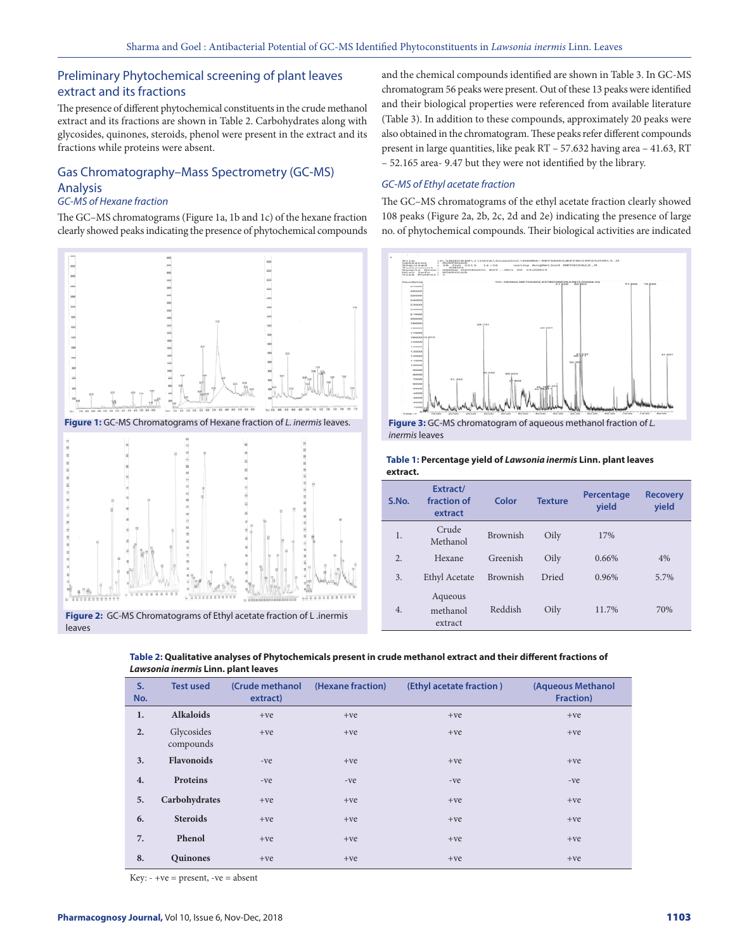# Preliminary Phytochemical screening of plant leaves extract and its fractions

The presence of different phytochemical constituents in the crude methanol extract and its fractions are shown in Table 2. Carbohydrates along with glycosides, quinones, steroids, phenol were present in the extract and its fractions while proteins were absent.

# Gas Chromatography–Mass Spectrometry (GC-MS) Analysis

#### *GC-MS of Hexane fraction*

The GC–MS chromatograms (Figure 1a, 1b and 1c) of the hexane fraction clearly showed peaks indicating the presence of phytochemical compounds



and the chemical compounds identified are shown in Table 3. In GC-MS chromatogram 56 peaks were present. Out of these 13 peaks were identified and their biological properties were referenced from available literature (Table 3). In addition to these compounds, approximately 20 peaks were also obtained in the chromatogram. These peaks refer different compounds present in large quantities, like peak RT – 57.632 having area – 41.63, RT – 52.165 area- 9.47 but they were not identified by the library.

#### *GC-MS of Ethyl acetate fraction*

The GC–MS chromatograms of the ethyl acetate fraction clearly showed 108 peaks (Figure 2a, 2b, 2c, 2d and 2e) indicating the presence of large no. of phytochemical compounds. Their biological activities are indicated



*inermis* leaves

| Table 1: Percentage yield of Lawsonia inermis Linn. plant leaves |  |
|------------------------------------------------------------------|--|
| extract.                                                         |  |

| S.No. | Extract/<br>fraction of<br>extract | Color    | <b>Texture</b> | Percentage<br>yield | <b>Recovery</b><br>yield |
|-------|------------------------------------|----------|----------------|---------------------|--------------------------|
| 1.    | Crude<br>Methanol                  | Brownish | Oily           | 17%                 |                          |
| 2.    | Hexane                             | Greenish | Oily           | 0.66%               | 4%                       |
| 3.    | Ethyl Acetate                      | Brownish | Dried          | 0.96%               | 5.7%                     |
| 4.    | Aqueous<br>methanol<br>extract     | Reddish  | Oily           | 11.7%               | 70%                      |

**S. No. Test used (Crude methanol extract) (Hexane fraction) (Ethyl acetate fraction ) (Aqueous Methanol Fraction) 1. Alkaloids** +ve +ve +ve +ve +ve +ve +ve +ve **2.** Glycosides compounds  $+ve$   $+ve$   $+ve$ **3. Flavonoids** -ve +ve +ve +ve +ve +ve +ve **4. Proteins** -ve -ve -ve -ve -ve -ve -ve -ve **5. Carbohydrates** +ve +ve +ve +ve **6. Steroids** +ve +ve +ve +ve +ve +ve +ve +ve **7. Phenol** +ve +ve +ve +ve +ve +ve +ve +ve **8. Quinones** +ve +ve +ve +ve +ve +ve +ve +ve

**Table 2: Qualitative analyses of Phytochemicals present in crude methanol extract and their different fractions of**  *Lawsonia inermis* **Linn. plant leaves**

 $Key: -+ve = present, -ve = absent$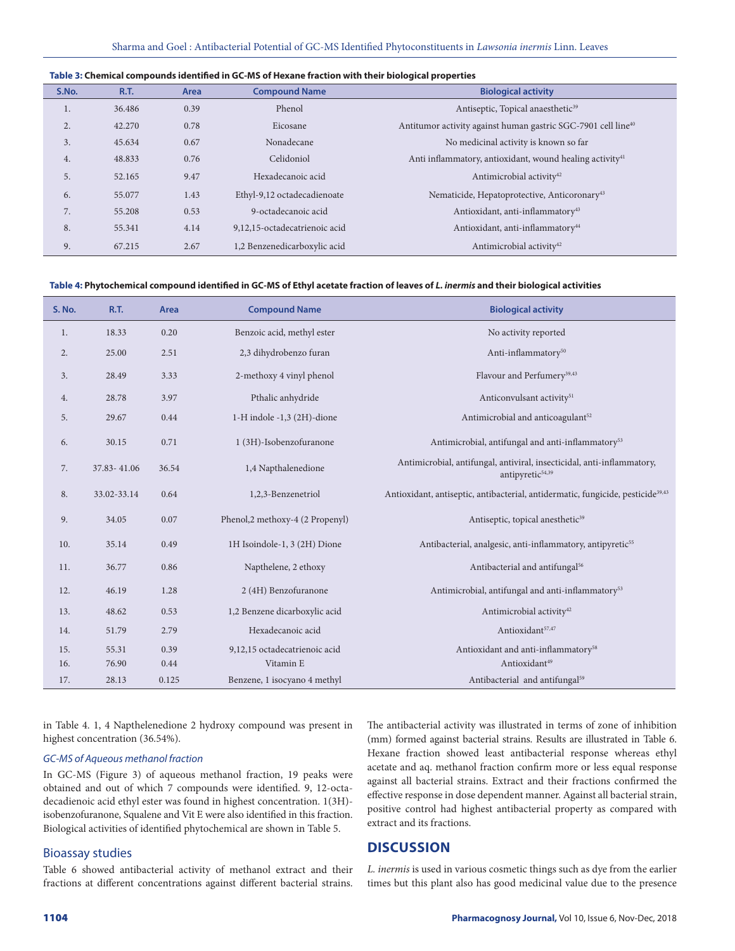#### **Table 3: Chemical compounds identified in GC-MS of Hexane fraction with their biological properties**

| S.No. | <b>R.T.</b> | Area | <b>Compound Name</b>          | <b>Biological activity</b>                                                |
|-------|-------------|------|-------------------------------|---------------------------------------------------------------------------|
| 1.    | 36.486      | 0.39 | Phenol                        | Antiseptic, Topical anaesthetic <sup>39</sup>                             |
| 2.    | 42.270      | 0.78 | Eicosane                      | Antitumor activity against human gastric SGC-7901 cell line <sup>40</sup> |
| 3.    | 45.634      | 0.67 | Nonadecane                    | No medicinal activity is known so far                                     |
| 4.    | 48.833      | 0.76 | Celidoniol                    | Anti inflammatory, antioxidant, wound healing activity <sup>41</sup>      |
| 5.    | 52.165      | 9.47 | Hexadecanoic acid             | Antimicrobial activity <sup>42</sup>                                      |
| 6.    | 55.077      | 1.43 | Ethyl-9,12 octadecadienoate   | Nematicide, Hepatoprotective, Anticoronary <sup>43</sup>                  |
| 7.    | 55.208      | 0.53 | 9-octadecanoic acid           | Antioxidant, anti-inflammatory <sup>43</sup>                              |
| 8.    | 55.341      | 4.14 | 9,12,15-octadecatrienoic acid | Antioxidant, anti-inflammatory <sup>44</sup>                              |
| 9.    | 67.215      | 2.67 | 1,2 Benzenedicarboxylic acid  | Antimicrobial activity <sup>42</sup>                                      |

#### **Table 4: Phytochemical compound identified in GC-MS of Ethyl acetate fraction of leaves of** *L. inermis* **and their biological activities**

| S. No. | <b>R.T.</b> | Area  | <b>Compound Name</b>            | <b>Biological activity</b>                                                                             |
|--------|-------------|-------|---------------------------------|--------------------------------------------------------------------------------------------------------|
| 1.     | 18.33       | 0.20  | Benzoic acid, methyl ester      | No activity reported                                                                                   |
| 2.     | 25.00       | 2.51  | 2,3 dihydrobenzo furan          | Anti-inflammatory <sup>50</sup>                                                                        |
| 3.     | 28.49       | 3.33  | 2-methoxy 4 vinyl phenol        | Flavour and Perfumery <sup>39,43</sup>                                                                 |
| 4.     | 28.78       | 3.97  | Pthalic anhydride               | Anticonvulsant activity <sup>51</sup>                                                                  |
| 5.     | 29.67       | 0.44  | 1-H indole -1,3 (2H)-dione      | Antimicrobial and anticoagulant <sup>52</sup>                                                          |
| 6.     | 30.15       | 0.71  | 1 (3H)-Isobenzofuranone         | Antimicrobial, antifungal and anti-inflammatory <sup>53</sup>                                          |
| 7.     | 37.83-41.06 | 36.54 | 1,4 Napthalenedione             | Antimicrobial, antifungal, antiviral, insecticidal, anti-inflammatory,<br>antipyretic <sup>54,39</sup> |
| 8.     | 33.02-33.14 | 0.64  | 1,2,3-Benzenetriol              | Antioxidant, antiseptic, antibacterial, antidermatic, fungicide, pesticide <sup>39,43</sup>            |
| 9.     | 34.05       | 0.07  | Phenol,2 methoxy-4 (2 Propenyl) | Antiseptic, topical anesthetic <sup>39</sup>                                                           |
| 10.    | 35.14       | 0.49  | 1H Isoindole-1, 3 (2H) Dione    | Antibacterial, analgesic, anti-inflammatory, antipyretic <sup>55</sup>                                 |
| 11.    | 36.77       | 0.86  | Napthelene, 2 ethoxy            | Antibacterial and antifungal <sup>56</sup>                                                             |
| 12.    | 46.19       | 1.28  | 2 (4H) Benzofuranone            | Antimicrobial, antifungal and anti-inflammatory <sup>53</sup>                                          |
| 13.    | 48.62       | 0.53  | 1,2 Benzene dicarboxylic acid   | Antimicrobial activity <sup>42</sup>                                                                   |
| 14.    | 51.79       | 2.79  | Hexadecanoic acid               | Antioxidant <sup>57,47</sup>                                                                           |
| 15.    | 55.31       | 0.39  | 9,12,15 octadecatrienoic acid   | Antioxidant and anti-inflammatory <sup>58</sup>                                                        |
| 16.    | 76.90       | 0.44  | Vitamin E                       | Antioxidant <sup>49</sup>                                                                              |
| 17.    | 28.13       | 0.125 | Benzene, 1 isocyano 4 methyl    | Antibacterial and antifungal <sup>59</sup>                                                             |

in Table 4. 1, 4 Napthelenedione 2 hydroxy compound was present in highest concentration (36.54%).

#### *GC-MS of Aqueous methanol fraction*

In GC-MS (Figure 3) of aqueous methanol fraction, 19 peaks were obtained and out of which 7 compounds were identified. 9, 12-octadecadienoic acid ethyl ester was found in highest concentration. 1(3H) isobenzofuranone, Squalene and Vit E were also identified in this fraction. Biological activities of identified phytochemical are shown in Table 5.

#### Bioassay studies

Table 6 showed antibacterial activity of methanol extract and their fractions at different concentrations against different bacterial strains. The antibacterial activity was illustrated in terms of zone of inhibition (mm) formed against bacterial strains. Results are illustrated in Table 6. Hexane fraction showed least antibacterial response whereas ethyl acetate and aq. methanol fraction confirm more or less equal response against all bacterial strains. Extract and their fractions confirmed the effective response in dose dependent manner. Against all bacterial strain, positive control had highest antibacterial property as compared with extract and its fractions.

# **DISCUSSION**

*L. inermis* is used in various cosmetic things such as dye from the earlier times but this plant also has good medicinal value due to the presence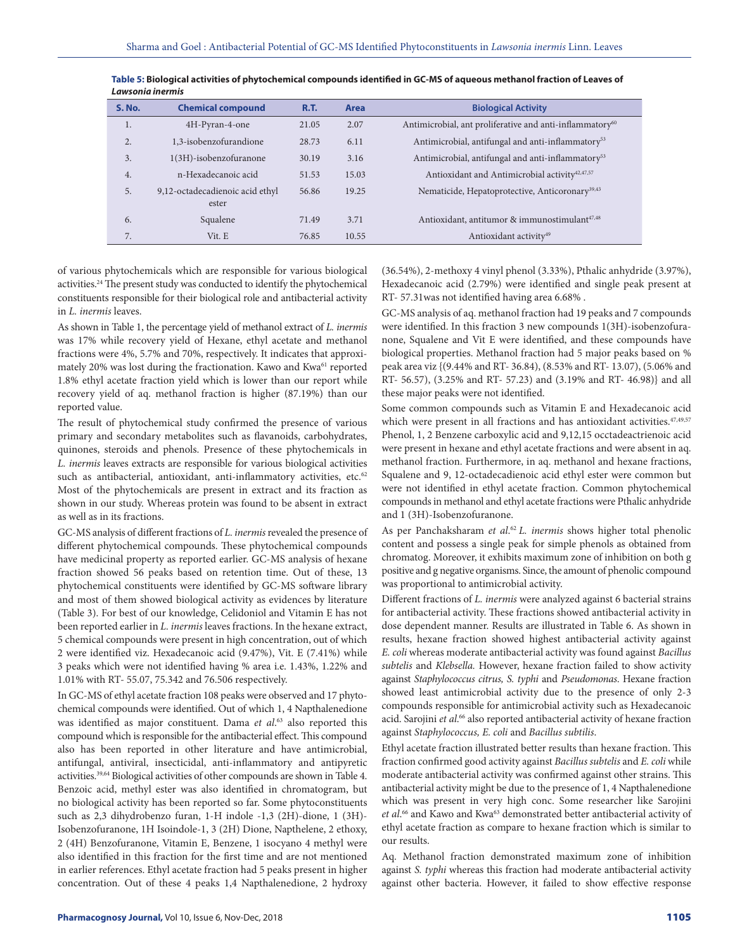| <b>S. No.</b> | <b>Chemical compound</b>                 | <b>R.T.</b> | Area  | <b>Biological Activity</b>                                           |
|---------------|------------------------------------------|-------------|-------|----------------------------------------------------------------------|
| 1.            | 4H-Pyran-4-one                           | 21.05       | 2.07  | Antimicrobial, ant proliferative and anti-inflammatory <sup>60</sup> |
| 2.            | 1,3-isobenzofurandione                   | 28.73       | 6.11  | Antimicrobial, antifungal and anti-inflammatory <sup>53</sup>        |
| 3.            | 1(3H)-isobenzofuranone                   | 30.19       | 3.16  | Antimicrobial, antifungal and anti-inflammatory <sup>53</sup>        |
| 4.            | n-Hexadecanoic acid                      | 51.53       | 15.03 | Antioxidant and Antimicrobial activity <sup>42,47,57</sup>           |
| 5.            | 9,12-octadecadienoic acid ethyl<br>ester | 56.86       | 19.25 | Nematicide, Hepatoprotective, Anticoronary <sup>39,43</sup>          |
| 6.            | Squalene                                 | 71.49       | 3.71  | Antioxidant, antitumor & immunostimulant <sup>47,48</sup>            |
| 7.            | Vit. E                                   | 76.85       | 10.55 | Antioxidant activity <sup>49</sup>                                   |

**Table 5: Biological activities of phytochemical compounds identified in GC-MS of aqueous methanol fraction of Leaves of**  *Lawsonia inermis*

of various phytochemicals which are responsible for various biological activities.<sup>24</sup> The present study was conducted to identify the phytochemical constituents responsible for their biological role and antibacterial activity in *L. inermis* leaves.

As shown in Table 1, the percentage yield of methanol extract of *L. inermis*  was 17% while recovery yield of Hexane, ethyl acetate and methanol fractions were 4%, 5.7% and 70%, respectively. It indicates that approximately 20% was lost during the fractionation. Kawo and Kwa<sup>61</sup> reported 1.8% ethyl acetate fraction yield which is lower than our report while recovery yield of aq. methanol fraction is higher (87.19%) than our reported value.

The result of phytochemical study confirmed the presence of various primary and secondary metabolites such as flavanoids, carbohydrates, quinones, steroids and phenols. Presence of these phytochemicals in *L. inermis* leaves extracts are responsible for various biological activities such as antibacterial, antioxidant, anti-inflammatory activities, etc.<sup>62</sup> Most of the phytochemicals are present in extract and its fraction as shown in our study. Whereas protein was found to be absent in extract as well as in its fractions.

GC-MS analysis of different fractions of *L. inermis* revealed the presence of different phytochemical compounds. These phytochemical compounds have medicinal property as reported earlier. GC-MS analysis of hexane fraction showed 56 peaks based on retention time. Out of these, 13 phytochemical constituents were identified by GC-MS software library and most of them showed biological activity as evidences by literature (Table 3). For best of our knowledge, Celidoniol and Vitamin E has not been reported earlier in *L. inermis* leaves fractions. In the hexane extract, 5 chemical compounds were present in high concentration, out of which 2 were identified viz. Hexadecanoic acid (9.47%), Vit. E (7.41%) while 3 peaks which were not identified having % area i.e. 1.43%, 1.22% and 1.01% with RT- 55.07, 75.342 and 76.506 respectively.

In GC-MS of ethyl acetate fraction 108 peaks were observed and 17 phytochemical compounds were identified. Out of which 1, 4 Napthalenedione was identified as major constituent. Dama *et al*. 63 also reported this compound which is responsible for the antibacterial effect. This compound also has been reported in other literature and have antimicrobial, antifungal, antiviral, insecticidal, anti-inflammatory and antipyretic activities.39,64 Biological activities of other compounds are shown in Table 4. Benzoic acid, methyl ester was also identified in chromatogram, but no biological activity has been reported so far. Some phytoconstituents such as 2,3 dihydrobenzo furan, 1-H indole -1,3 (2H)-dione, 1 (3H)- Isobenzofuranone, 1H Isoindole-1, 3 (2H) Dione, Napthelene, 2 ethoxy, 2 (4H) Benzofuranone, Vitamin E, Benzene, 1 isocyano 4 methyl were also identified in this fraction for the first time and are not mentioned in earlier references. Ethyl acetate fraction had 5 peaks present in higher concentration. Out of these 4 peaks 1,4 Napthalenedione, 2 hydroxy

(36.54%), 2-methoxy 4 vinyl phenol (3.33%), Pthalic anhydride (3.97%), Hexadecanoic acid (2.79%) were identified and single peak present at RT- 57.31was not identified having area 6.68% .

GC-MS analysis of aq. methanol fraction had 19 peaks and 7 compounds were identified. In this fraction 3 new compounds 1(3H)-isobenzofuranone, Squalene and Vit E were identified, and these compounds have biological properties. Methanol fraction had 5 major peaks based on % peak area viz {(9.44% and RT- 36.84), (8.53% and RT- 13.07), (5.06% and RT- 56.57), (3.25% and RT- 57.23) and (3.19% and RT- 46.98)} and all these major peaks were not identified.

Some common compounds such as Vitamin E and Hexadecanoic acid which were present in all fractions and has antioxidant activities.<sup>47,49,57</sup> Phenol, 1, 2 Benzene carboxylic acid and 9,12,15 occtadeactrienoic acid were present in hexane and ethyl acetate fractions and were absent in aq. methanol fraction. Furthermore, in aq. methanol and hexane fractions, Squalene and 9, 12-octadecadienoic acid ethyl ester were common but were not identified in ethyl acetate fraction. Common phytochemical compounds in methanol and ethyl acetate fractions were Pthalic anhydride and 1 (3H)-Isobenzofuranone.

As per Panchaksharam et al.<sup>62</sup> L. inermis shows higher total phenolic content and possess a single peak for simple phenols as obtained from chromatog. Moreover, it exhibits maximum zone of inhibition on both g positive and g negative organisms. Since, the amount of phenolic compound was proportional to antimicrobial activity.

Different fractions of *L. inermis* were analyzed against 6 bacterial strains for antibacterial activity. These fractions showed antibacterial activity in dose dependent manner. Results are illustrated in Table 6. As shown in results, hexane fraction showed highest antibacterial activity against *E. coli* whereas moderate antibacterial activity was found against *Bacillus subtelis* and *Klebsella.* However, hexane fraction failed to show activity against *Staphylococcus citrus, S. typhi* and *Pseudomonas*. Hexane fraction showed least antimicrobial activity due to the presence of only 2-3 compounds responsible for antimicrobial activity such as Hexadecanoic acid. Sarojini *et al.*<sup>66</sup> also reported antibacterial activity of hexane fraction against *Staphylococcus, E. coli* and *Bacillus subtilis*.

Ethyl acetate fraction illustrated better results than hexane fraction. This fraction confirmed good activity against *Bacillus subtelis* and *E. coli* while moderate antibacterial activity was confirmed against other strains. This antibacterial activity might be due to the presence of 1, 4 Napthalenedione which was present in very high conc. Some researcher like Sarojini et al.<sup>66</sup> and Kawo and Kwa<sup>63</sup> demonstrated better antibacterial activity of ethyl acetate fraction as compare to hexane fraction which is similar to our results.

Aq. Methanol fraction demonstrated maximum zone of inhibition against *S. typhi* whereas this fraction had moderate antibacterial activity against other bacteria. However, it failed to show effective response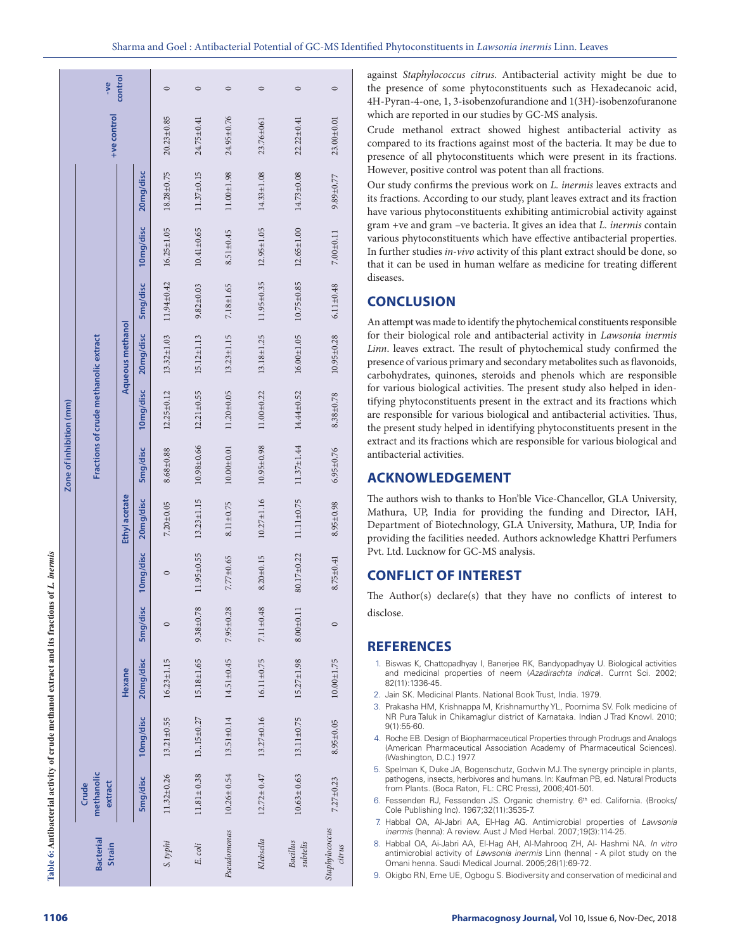| J              |
|----------------|
| ļ              |
|                |
| $\overline{a}$ |
|                |
| í              |
|                |
|                |
|                |
|                |
| j              |
|                |
|                |
| ŗ<br>ĺ         |

| Table 6: Antibacterial activity of crude methanol extract and its fractions of L. inermis |                                |                  |                  |                 |                 |                                   |                         |                                       |                  |                  |                                                    |                  |                  |         |
|-------------------------------------------------------------------------------------------|--------------------------------|------------------|------------------|-----------------|-----------------|-----------------------------------|-------------------------|---------------------------------------|------------------|------------------|----------------------------------------------------|------------------|------------------|---------|
|                                                                                           |                                |                  |                  |                 |                 |                                   | Zone of inhibition (mm) |                                       |                  |                  |                                                    |                  |                  |         |
| <b>Bacterial</b><br><b>Strain</b>                                                         | methanolic<br>extract<br>Crude |                  |                  |                 |                 |                                   |                         | Fractions of crude methanolic extract |                  |                  |                                                    |                  | +ve control      | -ye     |
|                                                                                           |                                |                  | Hexane           |                 |                 | Ethyl acetate                     |                         |                                       | Aqueous methanol |                  |                                                    |                  |                  | control |
|                                                                                           | 5mg/disc                       | 10mg/disc        | 20mg/disc        | 5mg/disc        | 10mg/disc       | 20mg/disc                         | 5mg/disc                | 10mg/disc                             | 20mg/disc        | 5mg/disc         | 10mg/disc                                          | 20mg/disc        |                  |         |
| S. typhi                                                                                  | 11.32±0.26                     | 13.21±0.55       | $16.23 \pm 1.15$ | $\circ$         | 0               | $7.20 \pm 0.05$                   | $8.68 \pm 0.88$         | $12.25 \pm 0.12$                      | $13.32 \pm 1.03$ |                  | $11.94 \pm 0.42$ $16.25 \pm 1.05$ $18.28 \pm 0.75$ |                  | $20.23 \pm 0.85$ | $\circ$ |
| E. coli                                                                                   | $11.81 \pm 0.38$               | 13.15±0.27       | 15.18±1.65       | $9.38 \pm 0.78$ | 11.95±0.55      | $13.23 \pm 1.15$                  | $10.98 \pm 0.66$        | $12.21 \pm 0.55$                      | $15.12 \pm 1.13$ | $9.82 \pm 0.03$  | $10.41 \pm 0.65$                                   | $11.37 \pm 0.15$ | $24.75 \pm 0.41$ | $\circ$ |
| Pseudomonas                                                                               | $10.26 \pm 0.54$               | $13.51 \pm 0.14$ | 14.51±0.45       | $7.95 \pm 0.28$ | 7.77±0.65       | $8.11 \pm 0.75$                   | $10.00 \pm 0.01$        | $11.20 \pm 0.05$                      | $13.23 \pm 1.15$ | $7.18 \pm 1.65$  | $8.51 \pm 0.45$                                    | $11.00 \pm 1.98$ | 24.95±0.76       | $\circ$ |
| Klebsella                                                                                 | $12.72 \pm 0.47$               | $13.27 \pm 0.16$ | 16.11±0.75       | $7.11 \pm 0.48$ | $8.20 \pm 0.15$ | $10.27 \pm 1.16$ $10.95 \pm 0.98$ |                         | $11.00 \pm 0.22$                      | $13.18 \pm 1.25$ | $11.95 \pm 0.35$ | $12.95 \pm 1.05$                                   | $14.33 \pm 1.08$ | 23.76±061        | $\circ$ |
| <b>Bacillus</b><br>subtelis                                                               | $10.63 \pm 0.63$               | 13.11±0.75       | $15.27 \pm 1.98$ | $8.00 + 0.11$   | 80.17±0.22      | 11.11±0.75                        | $11.37 \pm 1.44$        | 14.44±0.52                            | $16.00 \pm 1.05$ | $10.75 \pm 0.85$ | $12.65 \pm 1.00$                                   | $14.73 \pm 0.08$ | $22.22 \pm 0.41$ | $\circ$ |
| Staphylococcus<br>citrus                                                                  | $7.27 \pm 0.23$                | 8.95±0.05        | $10.00 + 1.75$   | $\circ$         | $8.75 \pm 0.41$ | $8.95 \pm 0.98$                   | $6.95 \pm 0.76$         | $8.38 \pm 0.78$                       | $10.95 \pm 0.28$ | $6.11 \pm 0.48$  | $7.00 \pm 0.11$                                    | $9.89 \pm 0.77$  | $23.00 \pm 0.01$ | $\circ$ |

against *Staphylococcus citrus*. Antibacterial activity might be due to the presence of some phytoconstituents such as Hexadecanoic acid, 4H-Pyran-4-one, 1, 3-isobenzofurandione and 1(3H)-isobenzofuranone which are reported in our studies by GC-MS analysis.

Crude methanol extract showed highest antibacterial activity as compared to its fractions against most of the bacteria. It may be due to presence of all phytoconstituents which were present in its fractions. However, positive control was potent than all fractions.

Our study confirms the previous work on *L. inermis* leaves extracts and its fractions. According to our study, plant leaves extract and its fraction have various phytoconstituents exhibiting antimicrobial activity against gram +ve and gram –ve bacteria. It gives an idea that *L. inermis* contain various phytoconstituents which have effective antibacterial properties. In further studies *in-vivo* activity of this plant extract should be done, so that it can be used in human welfare as medicine for treating different diseases.

# **CONCLUSION**

An attempt was made to identify the phytochemical constituents responsible for their biological role and antibacterial activity in *Lawsonia inermis Linn*. leaves extract. The result of phytochemical study confirmed the presence of various primary and secondary metabolites such as flavonoids, carbohydrates, quinones, steroids and phenols which are responsible for various biological activities. The present study also helped in iden tifying phytoconstituents present in the extract and its fractions which are responsible for various biological and antibacterial activities. Thus, the present study helped in identifying phytoconstituents present in the extract and its fractions which are responsible for various biological and antibacterial activities.

# **ACKNOWLEDGEMENT**

The authors wish to thanks to Hon'ble Vice-Chancellor, GLA University, Mathura, UP, India for providing the funding and Director, IAH, Department of Biotechnology, GLA University, Mathura, UP, India for providing the facilities needed. Authors acknowledge Khattri Perfumers Pvt. Ltd. Lucknow for GC-MS analysis.

# **CONFLICT OF INTEREST**

The Author(s) declare(s) that they have no conflicts of interest to disclose.

# **REFERENCES**

- 1. Biswas K, Chattopadhyay I, Banerjee RK, Bandyopadhyay U. Biological activities and medicinal properties of neem (*Azadirachta indica*). Currnt Sci. 2002; 82(11):1336-45.
- 2. Jain SK. Medicinal Plants*.* National Book Trust, India. 1979.
- 3. Prakasha HM, Krishnappa M, Krishnamurthy YL, Poornima SV. Folk medicine of NR Pura Taluk in Chikamaglur district of Karnataka. Indian J Trad Knowl. 2010; 9(1):55-60.
- 4. Roche EB. Design of Biopharmaceutical Properties through Prodrugs and Analogs (American Pharmaceutical Association Academy of Pharmaceutical Sciences). (Washington, D.C.) 1977.
- 5. Spelman K, Duke JA, Bogenschutz, Godwin MJ. The synergy principle in plants, pathogens, insects, herbivores and humans. In: Kaufman PB, ed. Natural Products from Plants. (Boca Raton, FL: CRC Press), 2006;401-501.
- 6. Fessenden RJ, Fessenden JS. Organic chemistry. 6<sup>th</sup> ed. California. (Brooks/ Cole Publishing Inc). 1967;32(11):3535-7.
- 7. Habbal OA, Al-Jabri AA, El-Hag AG. Antimicrobial properties of *Lawsonia inermis* (henna): A review. Aust J Med Herbal. 2007;19(3):114-25.
- 8. Habbal OA, Ai-Jabri AA, El-Hag AH, Al-Mahrooq ZH, Al- Hashmi NA. *In vitro*  antimicrobial activity of *Lawsonia inermis* Linn (henna) - A pilot study on the Omani henna. Saudi Medical Journal. 2005;26(1):69-72.
- 9. Okigbo RN, Eme UE, Ogbogu S. Biodiversity and conservation of medicinal and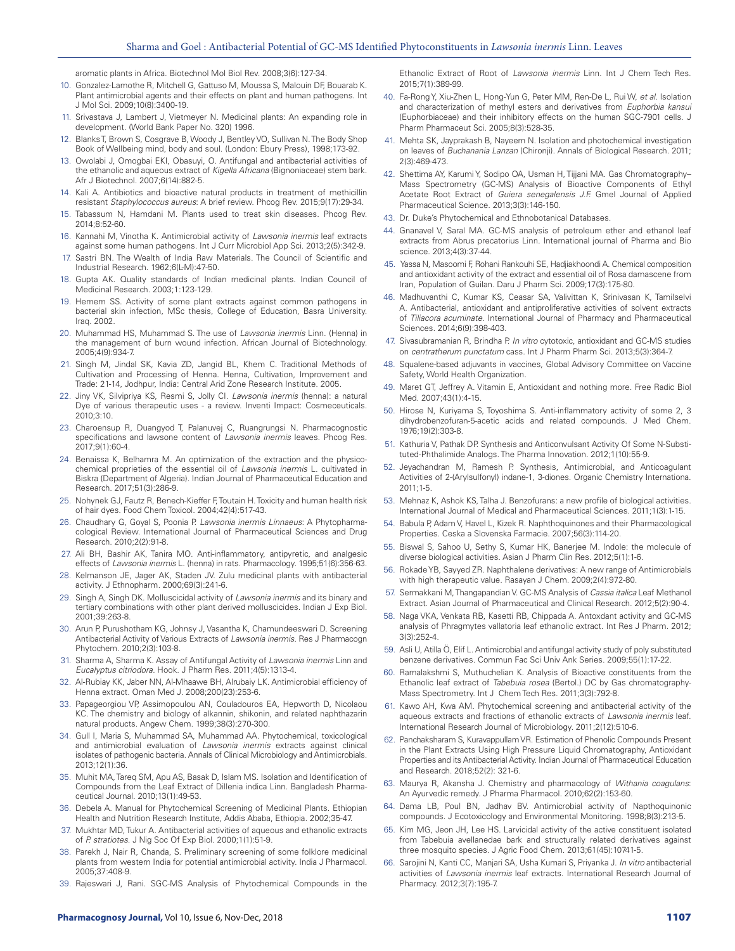aromatic plants in Africa. Biotechnol Mol Biol Rev. 2008;3(6):127-34.

- 10. Gonzalez-Lamothe R, Mitchell G, Gattuso M, Moussa S, Malouin DF, Bouarab K. Plant antimicrobial agents and their effects on plant and human pathogens. Int J Mol Sci. 2009;10(8):3400-19.
- 11. Srivastava J, Lambert J, Vietmeyer N. Medicinal plants: An expanding role in development. (World Bank Paper No. 320) 1996.
- 12. Blanks T, Brown S, Cosgrave B, Woody J, Bentley VO, Sullivan N. The Body Shop Book of Wellbeing mind, body and soul. (London: Ebury Press), 1998;173-92.
- 13. Owolabi J, Omogbai EKI, Obasuyi, O. Antifungal and antibacterial activities of the ethanolic and aqueous extract of *Kigella Africana* (Bignoniaceae) stem bark. Afr J Biotechnol. 2007;6(14):882-5.
- 14. Kali A. Antibiotics and bioactive natural products in treatment of methicillin resistant *Staphylococcus aureus*: A brief review. Phcog Rev. 2015;9(17):29-34.
- 15. Tabassum N, Hamdani M. Plants used to treat skin diseases. Phcog Rev. 2014;8:52-60.
- 16. Kannahi M, Vinotha K. Antimicrobial activity of *Lawsonia inermis* leaf extracts against some human pathogens. Int J Curr Microbiol App Sci. 2013;2(5):342-9.
- 17. Sastri BN. The Wealth of India Raw Materials. The Council of Scientific and Industrial Research. 1962;6(L-M):47-50.
- 18. Gupta AK. Quality standards of Indian medicinal plants. Indian Council of Medicinal Research. 2003;1:123-129.
- 19. Hemem SS. Activity of some plant extracts against common pathogens in bacterial skin infection, MSc thesis, College of Education, Basra University. Iraq. 2002.
- 20. Muhammad HS, Muhammad S. The use of *Lawsonia inermis* Linn. (Henna) in the management of burn wound infection. African Journal of Biotechnology. 2005;4(9):934-7.
- 21. Singh M, Jindal SK, Kavia ZD, Jangid BL, Khem C. Traditional Methods of Cultivation and Processing of Henna. Henna, Cultivation, Improvement and Trade: 21-14, Jodhpur, India: Central Arid Zone Research Institute. 2005.
- 22. Jiny VK, Silvipriya KS, Resmi S, Jolly CI. *Lawsonia inermis* (henna): a natural Dye of various therapeutic uses - a review. Inventi Impact: Cosmeceuticals. 2010;3:10.
- 23. Charoensup R, Duangyod T, Palanuvej C, Ruangrungsi N. Pharmacognostic specifications and lawsone content of *Lawsonia inermis* leaves. Phcog Res. 2017;9(1):60-4.
- 24. Benaissa K, Belhamra M. An optimization of the extraction and the physicochemical proprieties of the essential oil of *Lawsonia inermis* L. cultivated in Biskra (Department of Algeria). Indian Journal of Pharmaceutical Education and Research. 2017;51(3):286-9.
- 25. Nohynek GJ, Fautz R, Benech-Kieffer F, Toutain H. Toxicity and human health risk of hair dyes. Food Chem Toxicol. 2004;42(4):517-43.
- 26. Chaudhary G, Goyal S, Poonia P. *Lawsonia inermis Linnaeus*: A Phytopharmacological Review. International Journal of Pharmaceutical Sciences and Drug Research. 2010;2(2):91-8.
- 27. Ali BH, Bashir AK, Tanira MO. Anti-inflammatory, antipyretic, and analgesic effects of *Lawsonia inermis* L. (henna) in rats. Pharmacology. 1995;51(6):356-63.
- 28. Kelmanson JE, Jager AK, Staden JV. Zulu medicinal plants with antibacterial activity. J Ethnopharm. 2000;69(3):241-6.
- 29. Singh A, Singh DK. Molluscicidal activity of *Lawsonia inermis* and its binary and tertiary combinations with other plant derived molluscicides. Indian J Exp Biol*.* 2001;39:263-8.
- 30. Arun P, Purushotham KG, Johnsy J, Vasantha K, Chamundeeswari D. Screening Antibacterial Activity of Various Extracts of *Lawsonia inermis.* Res J Pharmacogn Phytochem. 2010;2(3):103-8.
- 31. Sharma A, Sharma K. Assay of Antifungal Activity of *Lawsonia inermis* Linn and *Eucalyptus citriodora.* Hook. J Pharm Res. 2011;4(5):1313-4.
- 32. Al-Rubiay KK, Jaber NN, Al-Mhaawe BH, Alrubaiy LK. Antimicrobial efficiency of Henna extract. Oman Med J. 2008;200(23):253-6.
- 33. Papageorgiou VP, Assimopoulou AN, Couladouros EA, Hepworth D, Nicolaou KC. The chemistry and biology of alkannin, shikonin, and related naphthazarin natural products. Angew Chem. 1999;38(3):270-300.
- 34. Gull I, Maria S, Muhammad SA, Muhammad AA. Phytochemical, toxicological and antimicrobial evaluation of *Lawsonia inermis* extracts against clinical isolates of pathogenic bacteria. Annals of Clinical Microbiology and Antimicrobials. 2013;12(1):36.
- 35. Muhit MA, Tareq SM, Apu AS, Basak D, Islam MS. Isolation and Identification of Compounds from the Leaf Extract of Dillenia indica Linn. Bangladesh Pharmaceutical Journal. 2010;13(1):49-53.
- 36. Debela A. Manual for Phytochemical Screening of Medicinal Plants. Ethiopian Health and Nutrition Research Institute, Addis Ababa, Ethiopia. 2002;35-47.
- 37. Mukhtar MD, Tukur A. Antibacterial activities of aqueous and ethanolic extracts of *P. stratiotes*. J Nig Soc Of Exp Biol. 2000;1(1):51-9.
- 38. Parekh J, Nair R, Chanda, S. Preliminary screening of some folklore medicinal plants from western India for potential antimicrobial activity. India J Pharmacol. 2005;37:408-9.
- 39. Rajeswari J, Rani. SGC-MS Analysis of Phytochemical Compounds in the

Ethanolic Extract of Root of *Lawsonia inermis* Linn. Int J Chem Tech Res. 2015;7(1):389-99.

- 40. Fa-Rong Y, Xiu-Zhen L, Hong-Yun G, Peter MM, Ren-De L, Rui W, *et al.* Isolation and characterization of methyl esters and derivatives from *Euphorbia kansui*  (Euphorbiaceae) and their inhibitory effects on the human SGC-7901 cells. J Pharm Pharmaceut Sci. 2005;8(3):528-35.
- 41. Mehta SK, Jayprakash B, Nayeem N. Isolation and photochemical investigation on leaves of *Buchanania Lanzan* (Chironji). Annals of Biological Research. 2011; 2(3):469-473.
- 42. Shettima AY, Karumi Y, Sodipo OA, Usman H, Tijjani MA. Gas Chromatography– Mass Spectrometry (GC-MS) Analysis of Bioactive Components of Ethyl Acetate Root Extract of *Guiera senegalensis J.F.* Gmel Journal of Applied Pharmaceutical Science. 2013;3(3):146-150.
- 43. Dr. Duke's Phytochemical and Ethnobotanical Databases.
- 44. Gnanavel V, Saral MA. GC-MS analysis of petroleum ether and ethanol leaf extracts from Abrus precatorius Linn. International journal of Pharma and Bio science. 2013;4(3):37-44.
- 45. Yassa N, Masoomi F, Rohani Rankouhi SE, Hadjiakhoondi A. Chemical composition and antioxidant activity of the extract and essential oil of Rosa damascene from Iran, Population of Guilan. Daru J Pharm Sci. 2009;17(3):175-80.
- 46. Madhuvanthi C, Kumar KS, Ceasar SA, Valivittan K, Srinivasan K, Tamilselvi A. Antibacterial, antioxidant and antiproliferative activities of solvent extracts of *Tiliacora acuminate.* International Journal of Pharmacy and Pharmaceutical Sciences. 2014;6(9):398-403.
- 47. Sivasubramanian R, Brindha P. *In vitro* cytotoxic, antioxidant and GC-MS studies on *centratherum punctatum* cass. Int J Pharm Pharm Sci. 2013;5(3):364-7.
- 48. Squalene-based adjuvants in vaccines, Global Advisory Committee on Vaccine Safety, World Health Organization.
- 49. Maret GT, Jeffrey A. Vitamin E, Antioxidant and nothing more. Free Radic Biol Med. 2007;43(1):4-15.
- 50. Hirose N, Kuriyama S, Toyoshima S. Anti-inflammatory activity of some 2, 3 dihydrobenzofuran-5-acetic acids and related compounds. J Med Chem. 1976;19(2):303-8.
- 51. Kathuria V, Pathak DP. Synthesis and Anticonvulsant Activity Of Some N-Substituted-Phthalimide Analogs. The Pharma Innovation. 2012;1(10):55-9.
- 52. Jeyachandran M, Ramesh P. Synthesis, Antimicrobial, and Anticoagulant Activities of 2-(Arylsulfonyl) indane-1, 3-diones. Organic Chemistry Internationa. 2011;1-5.
- 53. Mehnaz K, Ashok KS, Talha J. Benzofurans: a new profile of biological activities. International Journal of Medical and Pharmaceutical Sciences. 2011;1(3):1-15.
- 54. Babula P, Adam V, Havel L, Kizek R. Naphthoquinones and their Pharmacological Properties. Ceska a Slovenska Farmacie. 2007;56(3):114-20.
- 55. Biswal S, Sahoo U, Sethy S, Kumar HK, Banerjee M. Indole: the molecule of diverse biological activities. Asian J Pharm Clin Res. 2012;5(1):1-6.
- 56. Rokade YB, Sayyed ZR. Naphthalene derivatives: A new range of Antimicrobials with high therapeutic value. Rasayan J Chem. 2009;2(4):972-80.
- 57. Sermakkani M, Thangapandian V. GC-MS Analysis of *Cassia italica* Leaf Methanol Extract. Asian Journal of Pharmaceutical and Clinical Research. 2012;5(2):90-4.
- 58. Naga VKA, Venkata RB, Kasetti RB, Chippada A. Antoxdant activity and GC-MS analysis of Phragmytes vallatoria leaf ethanolic extract. Int Res J Pharm. 2012; 3(3):252-4.
- 59. Asli U, Atilla Ö, Elif L. Antimicrobial and antifungal activity study of poly substituted benzene derivatives. Commun Fac Sci Univ Ank Series. 2009;55(1):17-22.
- 60. Ramalakshmi S, Muthuchelian K. Analysis of Bioactive constituents from the Ethanolic leaf extract of *Tabebuia rosea* (Bertol.) DC by Gas chromatography-Mass Spectrometry. Int J Chem Tech Res. 2011;3(3):792-8.
- 61. Kawo AH, Kwa AM. Phytochemical screening and antibacterial activity of the aqueous extracts and fractions of ethanolic extracts of *Lawsonia inermis* leaf. International Research Journal of Microbiology. 2011;2(12):510-6.
- 62. Panchaksharam S, Kuravappullam VR. Estimation of Phenolic Compounds Present in the Plant Extracts Using High Pressure Liquid Chromatography, Antioxidant Properties and its Antibacterial Activity. Indian Journal of Pharmaceutical Education and Research. 2018;52(2): 321-6.
- 63. Maurya R, Akansha J. Chemistry and pharmacology of *Withania coagulans*: An Ayurvedic remedy. J Pharma Pharmacol. 2010;62(2):153-60.
- 64. Dama LB, Poul BN, Jadhav BV. Antimicrobial activity of Napthoquinonic compounds. J Ecotoxicology and Environmental Monitoring. 1998;8(3):213-5.
- 65. Kim MG, Jeon JH, Lee HS. Larvicidal activity of the active constituent isolated from Tabebuia avellanedae bark and structurally related derivatives against three mosquito species. J Agric Food Chem. 2013;61(45):10741-5.
- 66. Sarojini N, Kanti CC, Manjari SA, Usha Kumari S, Priyanka J. *In vitro* antibacterial activities of *Lawsonia inermis* leaf extracts. International Research Journal of Pharmacy. 2012;3(7):195-7.